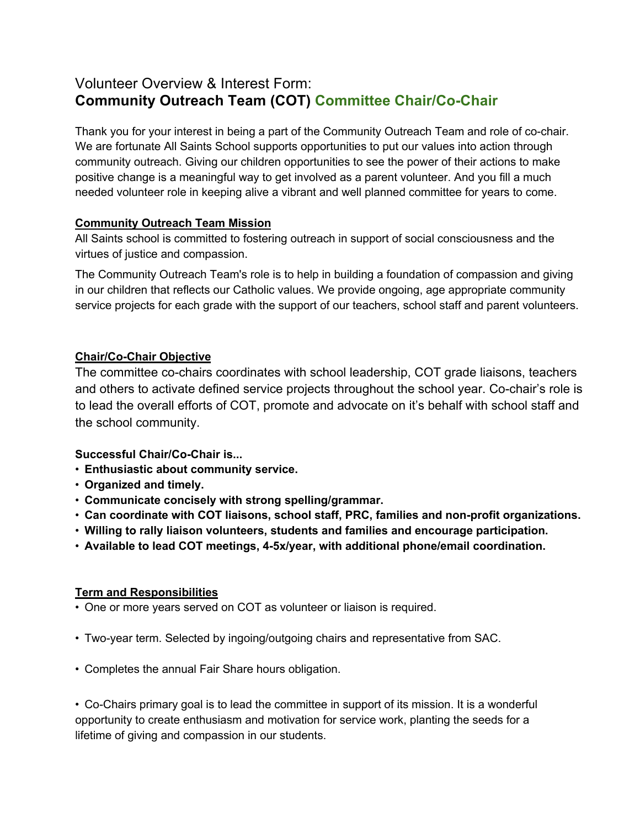# Volunteer Overview & Interest Form: **Community Outreach Team (COT) Committee Chair/Co-Chair**

Thank you for your interest in being a part of the Community Outreach Team and role of co-chair. We are fortunate All Saints School supports opportunities to put our values into action through community outreach. Giving our children opportunities to see the power of their actions to make positive change is a meaningful way to get involved as a parent volunteer. And you fill a much needed volunteer role in keeping alive a vibrant and well planned committee for years to come.

#### **Community Outreach Team Mission**

All Saints school is committed to fostering outreach in support of social consciousness and the virtues of justice and compassion.

The Community Outreach Team's role is to help in building a foundation of compassion and giving in our children that reflects our Catholic values. We provide ongoing, age appropriate community service projects for each grade with the support of our teachers, school staff and parent volunteers.

## **Chair/Co-Chair Objective**

The committee co-chairs coordinates with school leadership, COT grade liaisons, teachers and others to activate defined service projects throughout the school year. Co-chair's role is to lead the overall efforts of COT, promote and advocate on it's behalf with school staff and the school community.

## **Successful Chair/Co-Chair is...**

- **Enthusiastic about community service.**
- **Organized and timely.**
- **Communicate concisely with strong spelling/grammar.**
- **Can coordinate with COT liaisons, school staff, PRC, families and non-profit organizations.**
- **Willing to rally liaison volunteers, students and families and encourage participation.**
- **Available to lead COT meetings, 4-5x/year, with additional phone/email coordination.**

## **Term and Responsibilities**

- One or more years served on COT as volunteer or liaison is required.
- Two-year term. Selected by ingoing/outgoing chairs and representative from SAC.
- Completes the annual Fair Share hours obligation.

• Co-Chairs primary goal is to lead the committee in support of its mission. It is a wonderful opportunity to create enthusiasm and motivation for service work, planting the seeds for a lifetime of giving and compassion in our students.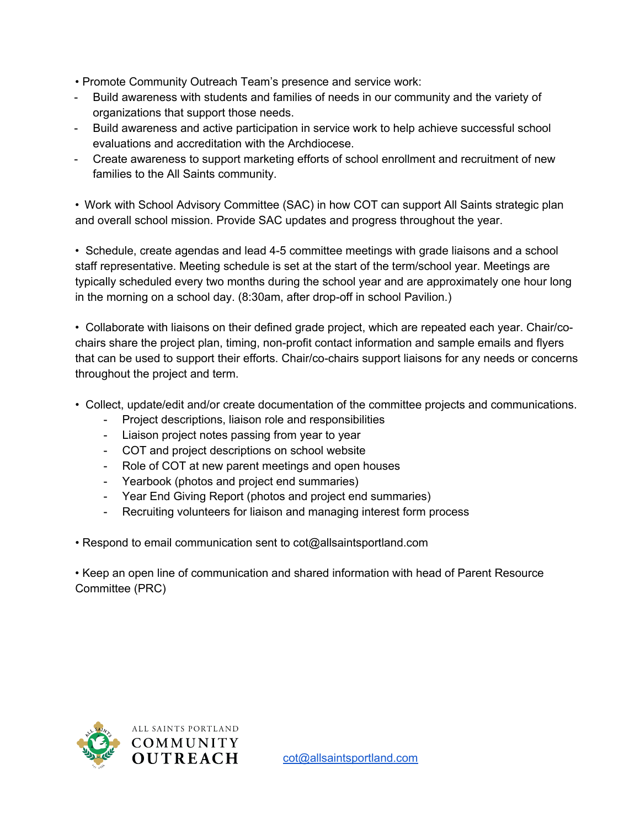- Promote Community Outreach Team's presence and service work:
- Build awareness with students and families of needs in our community and the variety of organizations that support those needs.
- Build awareness and active participation in service work to help achieve successful school evaluations and accreditation with the Archdiocese.
- Create awareness to support marketing efforts of school enrollment and recruitment of new families to the All Saints community.

• Work with School Advisory Committee (SAC) in how COT can support All Saints strategic plan and overall school mission. Provide SAC updates and progress throughout the year.

• Schedule, create agendas and lead 4-5 committee meetings with grade liaisons and a school staff representative. Meeting schedule is set at the start of the term/school year. Meetings are typically scheduled every two months during the school year and are approximately one hour long in the morning on a school day. (8:30am, after drop-off in school Pavilion.)

• Collaborate with liaisons on their defined grade project, which are repeated each year. Chair/cochairs share the project plan, timing, non-profit contact information and sample emails and flyers that can be used to support their efforts. Chair/co-chairs support liaisons for any needs or concerns throughout the project and term.

- Collect, update/edit and/or create documentation of the committee projects and communications.
	- Project descriptions, liaison role and responsibilities
	- Liaison project notes passing from year to year
	- COT and project descriptions on school website
	- Role of COT at new parent meetings and open houses
	- Yearbook (photos and project end summaries)
	- Year End Giving Report (photos and project end summaries)
	- Recruiting volunteers for liaison and managing interest form process

• Respond to email communication sent to cot@allsaintsportland.com

• Keep an open line of communication and shared information with head of Parent Resource Committee (PRC)